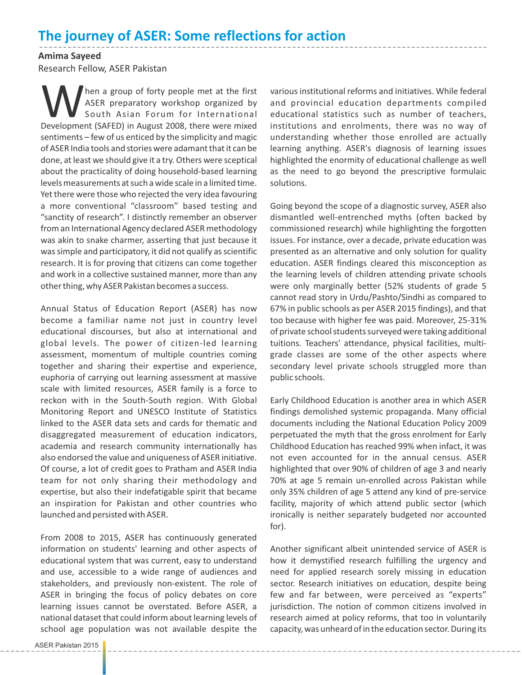## **The journey of ASER: Some reflections for action**

**Amima Sayeed** Research Fellow, ASER Pakistan

MaseR preparatory workshop organized by South Asian Forum for International Development (SAFED) in August 2008, there were mixed South Asian Forum for International sentiments – few of us enticed by the simplicity and magic of ASER India tools and stories were adamant that it can be done, at least we should give it a try. Others were sceptical about the practicality of doing household-based learning levels measurements at such a wide scale in a limited time. Yet there were those who rejected the very idea favouring a more conventional "classroom" based testing and "sanctity of research". I distinctly remember an observer from an International Agency declared ASER methodology was akin to snake charmer, asserting that just because it was simple and participatory, it did not qualify as scientific research. It is for proving that citizens can come together and work in a collective sustained manner, more than any other thing, why ASER Pakistan becomes a success.

Annual Status of Education Report (ASER) has now become a familiar name not just in country level educational discourses, but also at international and global levels. The power of citizen-led learning assessment, momentum of multiple countries coming together and sharing their expertise and experience, euphoria of carrying out learning assessment at massive scale with limited resources, ASER family is a force to reckon with in the South-South region. With Global Monitoring Report and UNESCO Institute of Statistics linked to the ASER data sets and cards for thematic and disaggregated measurement of education indicators, academia and research community internationally has also endorsed the value and uniqueness of ASER initiative. Of course, a lot of credit goes to Pratham and ASER India team for not only sharing their methodology and expertise, but also their indefatigable spirit that became an inspiration for Pakistan and other countries who launched and persisted with ASER.

From 2008 to 2015, ASER has continuously generated information on students' learning and other aspects of educational system that was current, easy to understand and use, accessible to a wide range of audiences and stakeholders, and previously non-existent. The role of ASER in bringing the focus of policy debates on core learning issues cannot be overstated. Before ASER, a national dataset that could inform about learning levels of school age population was not available despite the

various institutional reforms and initiatives. While federal and provincial education departments compiled educational statistics such as number of teachers, institutions and enrolments, there was no way of understanding whether those enrolled are actually learning anything. ASER's diagnosis of learning issues highlighted the enormity of educational challenge as well as the need to go beyond the prescriptive formulaic solutions.

Going beyond the scope of a diagnostic survey, ASER also dismantled well-entrenched myths (often backed by commissioned research) while highlighting the forgotten issues. For instance, over a decade, private education was presented as an alternative and only solution for quality education. ASER findings cleared this misconception as the learning levels of children attending private schools were only marginally better (52% students of grade 5 cannot read story in Urdu/Pashto/Sindhi as compared to 67% in public schools as per ASER 2015 findings), and that too because with higher fee was paid. Moreover, 25-31% of private school students surveyed were taking additional tuitions. Teachers' attendance, physical facilities, multigrade classes are some of the other aspects where secondary level private schools struggled more than public schools.

Early Childhood Education is another area in which ASER findings demolished systemic propaganda. Many official documents including the National Education Policy 2009 perpetuated the myth that the gross enrolment for Early Childhood Education has reached 99% when infact, it was not even accounted for in the annual census. ASER highlighted that over 90% of children of age 3 and nearly 70% at age 5 remain un-enrolled across Pakistan while only 35% children of age 5 attend any kind of pre-service facility, majority of which attend public sector (which ironically is neither separately budgeted nor accounted for).

Another significant albeit unintended service of ASER is how it demystified research fulfilling the urgency and need for applied research sorely missing in education sector. Research initiatives on education, despite being few and far between, were perceived as "experts" jurisdiction. The notion of common citizens involved in research aimed at policy reforms, that too in voluntarily capacity, was unheard of in the education sector. During its